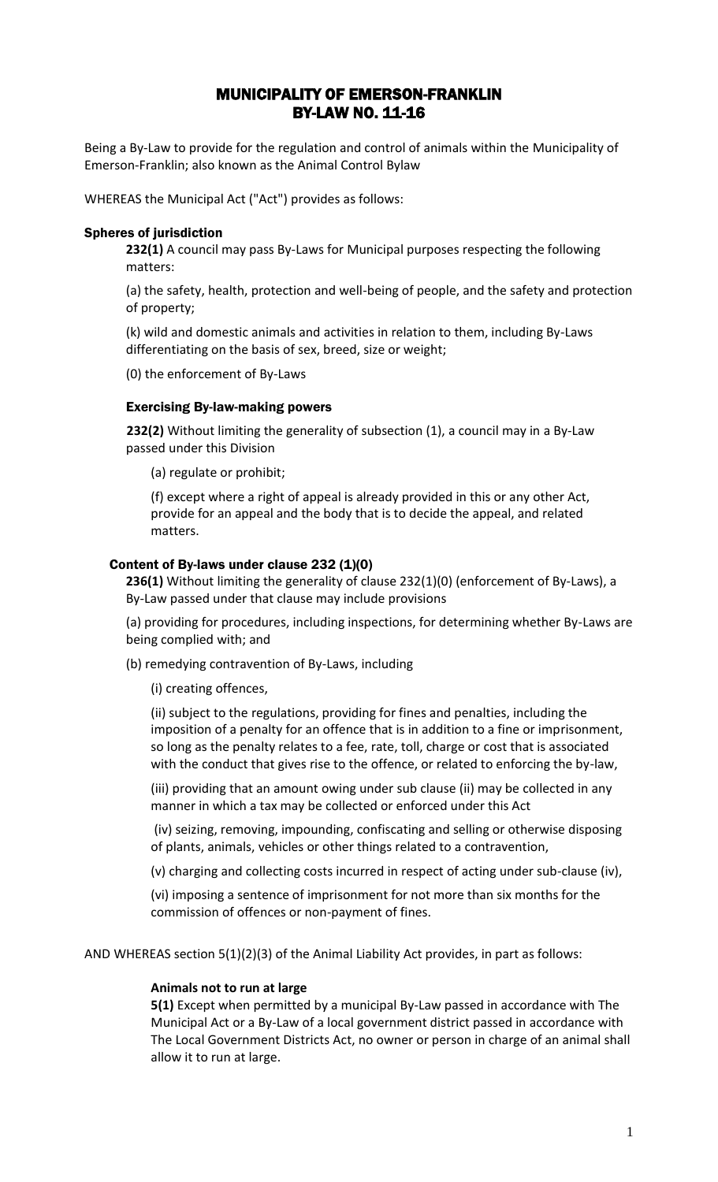## MUNICIPALITY OF EMERSON-FRANKLIN BY-LAW NO. 11-16

Being a By-Law to provide for the regulation and control of animals within the Municipality of Emerson-Franklin; also known as the Animal Control Bylaw

WHEREAS the Municipal Act ("Act") provides as follows:

#### Spheres of jurisdiction

**232(1)** A council may pass By-Laws for Municipal purposes respecting the following matters:

(a) the safety, health, protection and well-being of people, and the safety and protection of property;

(k) wild and domestic animals and activities in relation to them, including By-Laws differentiating on the basis of sex, breed, size or weight;

(0) the enforcement of By-Laws

#### Exercising By-law-making powers

**232(2)** Without limiting the generality of subsection (1), a council may in a By-Law passed under this Division

(a) regulate or prohibit;

(f) except where a right of appeal is already provided in this or any other Act, provide for an appeal and the body that is to decide the appeal, and related matters.

#### Content of By-laws under clause 232 (1)(0)

**236(1)** Without limiting the generality of clause 232(1)(0) (enforcement of By-Laws), a By-Law passed under that clause may include provisions

(a) providing for procedures, including inspections, for determining whether By-Laws are being complied with; and

(b) remedying contravention of By-Laws, including

(i) creating offences,

(ii) subject to the regulations, providing for fines and penalties, including the imposition of a penalty for an offence that is in addition to a fine or imprisonment, so long as the penalty relates to a fee, rate, toll, charge or cost that is associated with the conduct that gives rise to the offence, or related to enforcing the by-law,

(iii) providing that an amount owing under sub clause (ii) may be collected in any manner in which a tax may be collected or enforced under this Act

(iv) seizing, removing, impounding, confiscating and selling or otherwise disposing of plants, animals, vehicles or other things related to a contravention,

(v) charging and collecting costs incurred in respect of acting under sub-clause (iv),

(vi) imposing a sentence of imprisonment for not more than six months for the commission of offences or non-payment of fines.

AND WHEREAS section 5(1)(2)(3) of the Animal Liability Act provides, in part as follows:

#### **Animals not to run at large**

**5(1)** Except when permitted by a municipal By-Law passed in accordance with The Municipal Act or a By-Law of a local government district passed in accordance with The Local Government Districts Act, no owner or person in charge of an animal shall allow it to run at large.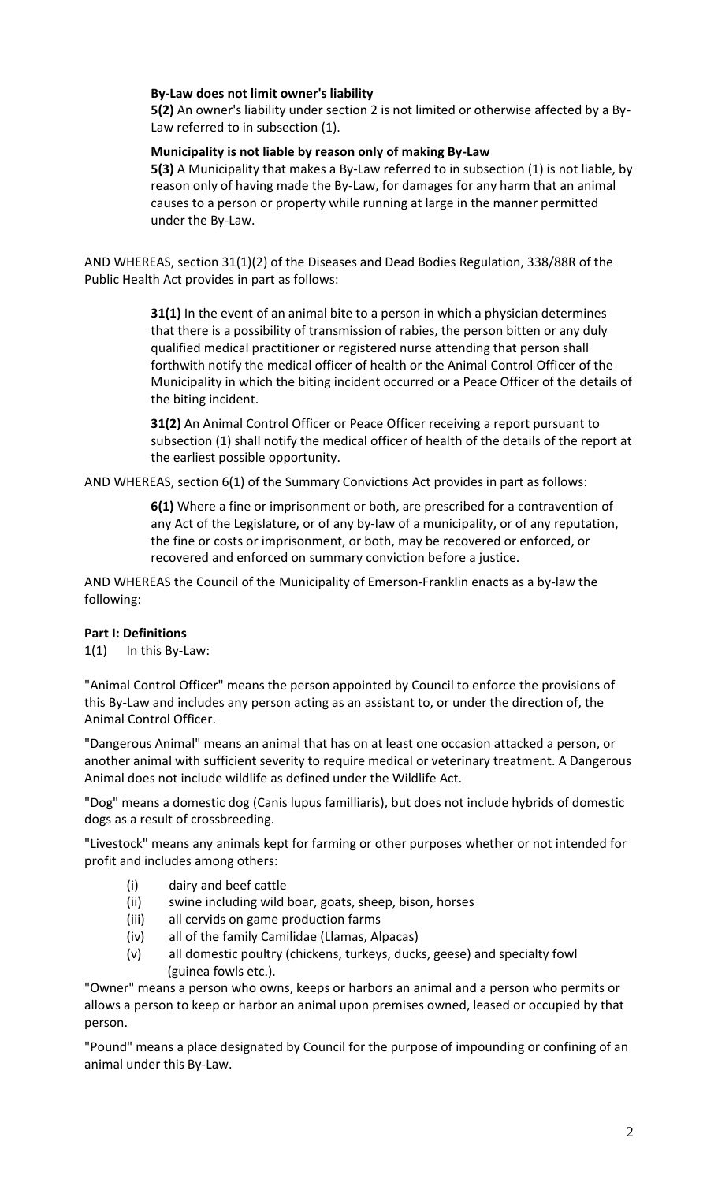## **By-Law does not limit owner's liability**

**5(2)** An owner's liability under section 2 is not limited or otherwise affected by a By-Law referred to in subsection (1).

#### **Municipality is not liable by reason only of making By-Law**

**5(3)** A Municipality that makes a By-Law referred to in subsection (1) is not liable, by reason only of having made the By-Law, for damages for any harm that an animal causes to a person or property while running at large in the manner permitted under the By-Law.

AND WHEREAS, section 31(1)(2) of the Diseases and Dead Bodies Regulation, 338/88R of the Public Health Act provides in part as follows:

> **31(1)** In the event of an animal bite to a person in which a physician determines that there is a possibility of transmission of rabies, the person bitten or any duly qualified medical practitioner or registered nurse attending that person shall forthwith notify the medical officer of health or the Animal Control Officer of the Municipality in which the biting incident occurred or a Peace Officer of the details of the biting incident.

> **31(2)** An Animal Control Officer or Peace Officer receiving a report pursuant to subsection (1) shall notify the medical officer of health of the details of the report at the earliest possible opportunity.

AND WHEREAS, section 6(1) of the Summary Convictions Act provides in part as follows:

**6(1)** Where a fine or imprisonment or both, are prescribed for a contravention of any Act of the Legislature, or of any by-law of a municipality, or of any reputation, the fine or costs or imprisonment, or both, may be recovered or enforced, or recovered and enforced on summary conviction before a justice.

AND WHEREAS the Council of the Municipality of Emerson-Franklin enacts as a by-law the following:

## **Part I: Definitions**

1(1) In this By-Law:

"Animal Control Officer" means the person appointed by Council to enforce the provisions of this By-Law and includes any person acting as an assistant to, or under the direction of, the Animal Control Officer.

"Dangerous Animal" means an animal that has on at least one occasion attacked a person, or another animal with sufficient severity to require medical or veterinary treatment. A Dangerous Animal does not include wildlife as defined under the Wildlife Act.

"Dog" means a domestic dog (Canis lupus familliaris), but does not include hybrids of domestic dogs as a result of crossbreeding.

"Livestock" means any animals kept for farming or other purposes whether or not intended for profit and includes among others:

- (i) dairy and beef cattle
- (ii) swine including wild boar, goats, sheep, bison, horses
- (iii) all cervids on game production farms
- (iv) all of the family Camilidae (Llamas, Alpacas)
- (v) all domestic poultry (chickens, turkeys, ducks, geese) and specialty fowl (guinea fowls etc.).

"Owner" means a person who owns, keeps or harbors an animal and a person who permits or allows a person to keep or harbor an animal upon premises owned, leased or occupied by that person.

"Pound" means a place designated by Council for the purpose of impounding or confining of an animal under this By-Law.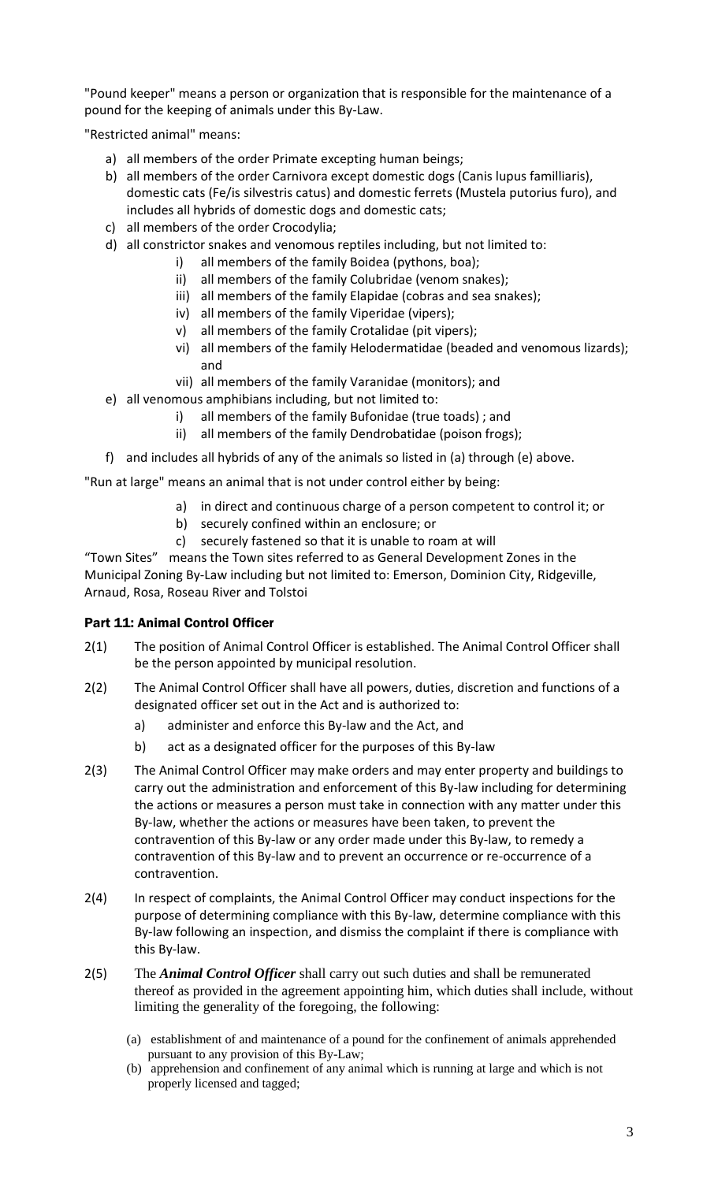"Pound keeper" means a person or organization that is responsible for the maintenance of a pound for the keeping of animals under this By-Law.

"Restricted animal" means:

- a) all members of the order Primate excepting human beings;
- b) all members of the order Carnivora except domestic dogs (Canis lupus familliaris), domestic cats (Fe/is silvestris catus) and domestic ferrets (Mustela putorius furo), and includes all hybrids of domestic dogs and domestic cats;
- c) all members of the order Crocodylia;
- d) all constrictor snakes and venomous reptiles including, but not limited to:
	- i) all members of the family Boidea (pythons, boa);
		- ii) all members of the family Colubridae (venom snakes);
		- iii) all members of the family Elapidae (cobras and sea snakes);
		- iv) all members of the family Viperidae (vipers);
		- v) all members of the family Crotalidae (pit vipers);
		- vi) all members of the family Helodermatidae (beaded and venomous lizards); and
		- vii) all members of the family Varanidae (monitors); and
- e) all venomous amphibians including, but not limited to:
	- i) all members of the family Bufonidae (true toads) ; and
	- ii) all members of the family Dendrobatidae (poison frogs);
- f) and includes all hybrids of any of the animals so listed in (a) through (e) above.

"Run at large" means an animal that is not under control either by being:

- a) in direct and continuous charge of a person competent to control it; or
- b) securely confined within an enclosure; or
- c) securely fastened so that it is unable to roam at will

"Town Sites" means the Town sites referred to as General Development Zones in the Municipal Zoning By-Law including but not limited to: Emerson, Dominion City, Ridgeville, Arnaud, Rosa, Roseau River and Tolstoi

## Part 11: Animal Control Officer

- 2(1) The position of Animal Control Officer is established. The Animal Control Officer shall be the person appointed by municipal resolution.
- 2(2) The Animal Control Officer shall have all powers, duties, discretion and functions of a designated officer set out in the Act and is authorized to:
	- a) administer and enforce this By-law and the Act, and
	- b) act as a designated officer for the purposes of this By-law
- 2(3) The Animal Control Officer may make orders and may enter property and buildings to carry out the administration and enforcement of this By-law including for determining the actions or measures a person must take in connection with any matter under this By-law, whether the actions or measures have been taken, to prevent the contravention of this By-law or any order made under this By-law, to remedy a contravention of this By-law and to prevent an occurrence or re-occurrence of a contravention.
- 2(4) In respect of complaints, the Animal Control Officer may conduct inspections for the purpose of determining compliance with this By-law, determine compliance with this By-law following an inspection, and dismiss the complaint if there is compliance with this By-law.
- 2(5) The *Animal Control Officer* shall carry out such duties and shall be remunerated thereof as provided in the agreement appointing him, which duties shall include, without limiting the generality of the foregoing, the following:
	- (a) establishment of and maintenance of a pound for the confinement of animals apprehended pursuant to any provision of this By-Law;
	- (b) apprehension and confinement of any animal which is running at large and which is not properly licensed and tagged;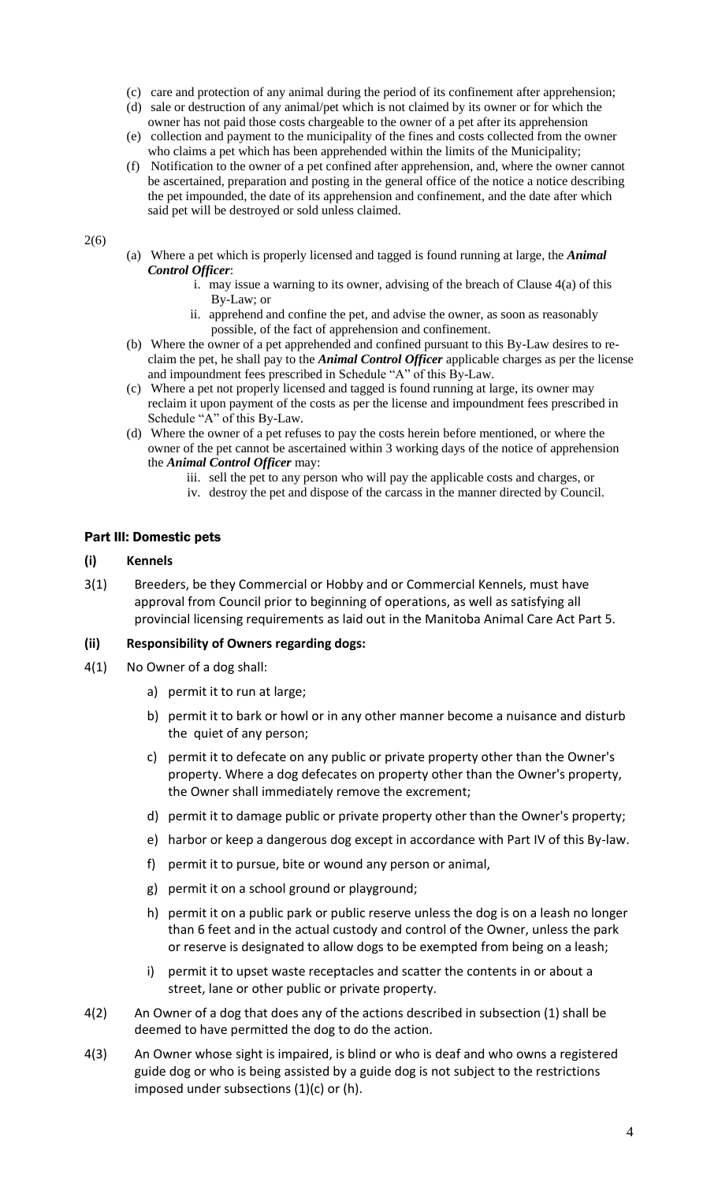- (c) care and protection of any animal during the period of its confinement after apprehension;
- (d) sale or destruction of any animal/pet which is not claimed by its owner or for which the owner has not paid those costs chargeable to the owner of a pet after its apprehension
- (e) collection and payment to the municipality of the fines and costs collected from the owner who claims a pet which has been apprehended within the limits of the Municipality;
- (f) Notification to the owner of a pet confined after apprehension, and, where the owner cannot be ascertained, preparation and posting in the general office of the notice a notice describing the pet impounded, the date of its apprehension and confinement, and the date after which said pet will be destroyed or sold unless claimed.

2(6)

- (a) Where a pet which is properly licensed and tagged is found running at large, the *Animal Control Officer*:
	- i. may issue a warning to its owner, advising of the breach of Clause 4(a) of this By-Law; or
	- ii. apprehend and confine the pet, and advise the owner, as soon as reasonably possible, of the fact of apprehension and confinement.
- (b) Where the owner of a pet apprehended and confined pursuant to this By-Law desires to reclaim the pet, he shall pay to the *Animal Control Officer* applicable charges as per the license and impoundment fees prescribed in Schedule "A" of this By-Law.
- (c) Where a pet not properly licensed and tagged is found running at large, its owner may reclaim it upon payment of the costs as per the license and impoundment fees prescribed in Schedule "A" of this By-Law.
- (d) Where the owner of a pet refuses to pay the costs herein before mentioned, or where the owner of the pet cannot be ascertained within 3 working days of the notice of apprehension the *Animal Control Officer* may:
	- iii. sell the pet to any person who will pay the applicable costs and charges, or
	- iv. destroy the pet and dispose of the carcass in the manner directed by Council.

#### Part Ill: Domestic pets

#### **(i) Kennels**

3(1) Breeders, be they Commercial or Hobby and or Commercial Kennels, must have approval from Council prior to beginning of operations, as well as satisfying all provincial licensing requirements as laid out in the Manitoba Animal Care Act Part 5.

#### **(ii) Responsibility of Owners regarding dogs:**

- 4(1) No Owner of a dog shall:
	- a) permit it to run at large;
	- b) permit it to bark or howl or in any other manner become a nuisance and disturb the quiet of any person;
	- c) permit it to defecate on any public or private property other than the Owner's property. Where a dog defecates on property other than the Owner's property, the Owner shall immediately remove the excrement;
	- d) permit it to damage public or private property other than the Owner's property;
	- e) harbor or keep a dangerous dog except in accordance with Part IV of this By-law.
	- f) permit it to pursue, bite or wound any person or animal,
	- g) permit it on a school ground or playground;
	- h) permit it on a public park or public reserve unless the dog is on a leash no longer than 6 feet and in the actual custody and control of the Owner, unless the park or reserve is designated to allow dogs to be exempted from being on a leash;
	- i) permit it to upset waste receptacles and scatter the contents in or about a street, lane or other public or private property.
- 4(2) An Owner of a dog that does any of the actions described in subsection (1) shall be deemed to have permitted the dog to do the action.
- 4(3) An Owner whose sight is impaired, is blind or who is deaf and who owns a registered guide dog or who is being assisted by a guide dog is not subject to the restrictions imposed under subsections (1)(c) or (h).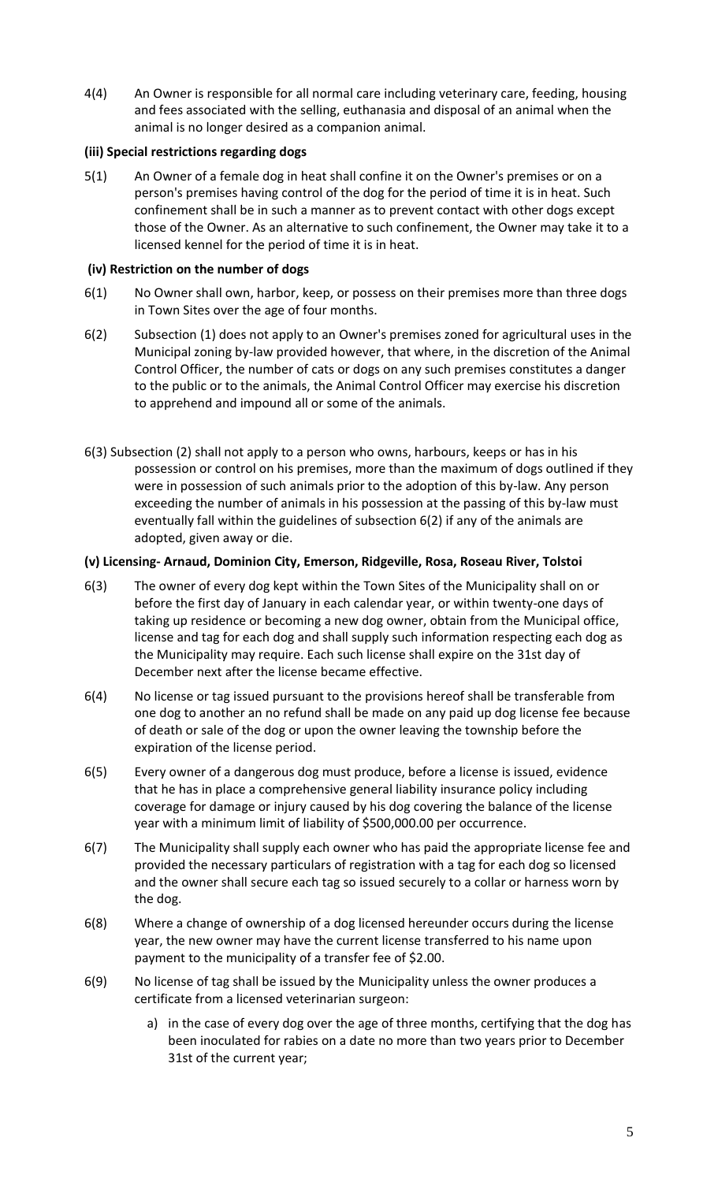4(4) An Owner is responsible for all normal care including veterinary care, feeding, housing and fees associated with the selling, euthanasia and disposal of an animal when the animal is no longer desired as a companion animal.

## **(iii) Special restrictions regarding dogs**

5(1) An Owner of a female dog in heat shall confine it on the Owner's premises or on a person's premises having control of the dog for the period of time it is in heat. Such confinement shall be in such a manner as to prevent contact with other dogs except those of the Owner. As an alternative to such confinement, the Owner may take it to a licensed kennel for the period of time it is in heat.

## **(iv) Restriction on the number of dogs**

- 6(1) No Owner shall own, harbor, keep, or possess on their premises more than three dogs in Town Sites over the age of four months.
- 6(2) Subsection (1) does not apply to an Owner's premises zoned for agricultural uses in the Municipal zoning by-law provided however, that where, in the discretion of the Animal Control Officer, the number of cats or dogs on any such premises constitutes a danger to the public or to the animals, the Animal Control Officer may exercise his discretion to apprehend and impound all or some of the animals.
- 6(3) Subsection (2) shall not apply to a person who owns, harbours, keeps or has in his possession or control on his premises, more than the maximum of dogs outlined if they were in possession of such animals prior to the adoption of this by-law. Any person exceeding the number of animals in his possession at the passing of this by-law must eventually fall within the guidelines of subsection 6(2) if any of the animals are adopted, given away or die.

## **(v) Licensing- Arnaud, Dominion City, Emerson, Ridgeville, Rosa, Roseau River, Tolstoi**

- 6(3) The owner of every dog kept within the Town Sites of the Municipality shall on or before the first day of January in each calendar year, or within twenty-one days of taking up residence or becoming a new dog owner, obtain from the Municipal office, license and tag for each dog and shall supply such information respecting each dog as the Municipality may require. Each such license shall expire on the 31st day of December next after the license became effective.
- 6(4) No license or tag issued pursuant to the provisions hereof shall be transferable from one dog to another an no refund shall be made on any paid up dog license fee because of death or sale of the dog or upon the owner leaving the township before the expiration of the license period.
- 6(5) Every owner of a dangerous dog must produce, before a license is issued, evidence that he has in place a comprehensive general liability insurance policy including coverage for damage or injury caused by his dog covering the balance of the license year with a minimum limit of liability of \$500,000.00 per occurrence.
- 6(7) The Municipality shall supply each owner who has paid the appropriate license fee and provided the necessary particulars of registration with a tag for each dog so licensed and the owner shall secure each tag so issued securely to a collar or harness worn by the dog.
- 6(8) Where a change of ownership of a dog licensed hereunder occurs during the license year, the new owner may have the current license transferred to his name upon payment to the municipality of a transfer fee of \$2.00.
- 6(9) No license of tag shall be issued by the Municipality unless the owner produces a certificate from a licensed veterinarian surgeon:
	- a) in the case of every dog over the age of three months, certifying that the dog has been inoculated for rabies on a date no more than two years prior to December 31st of the current year;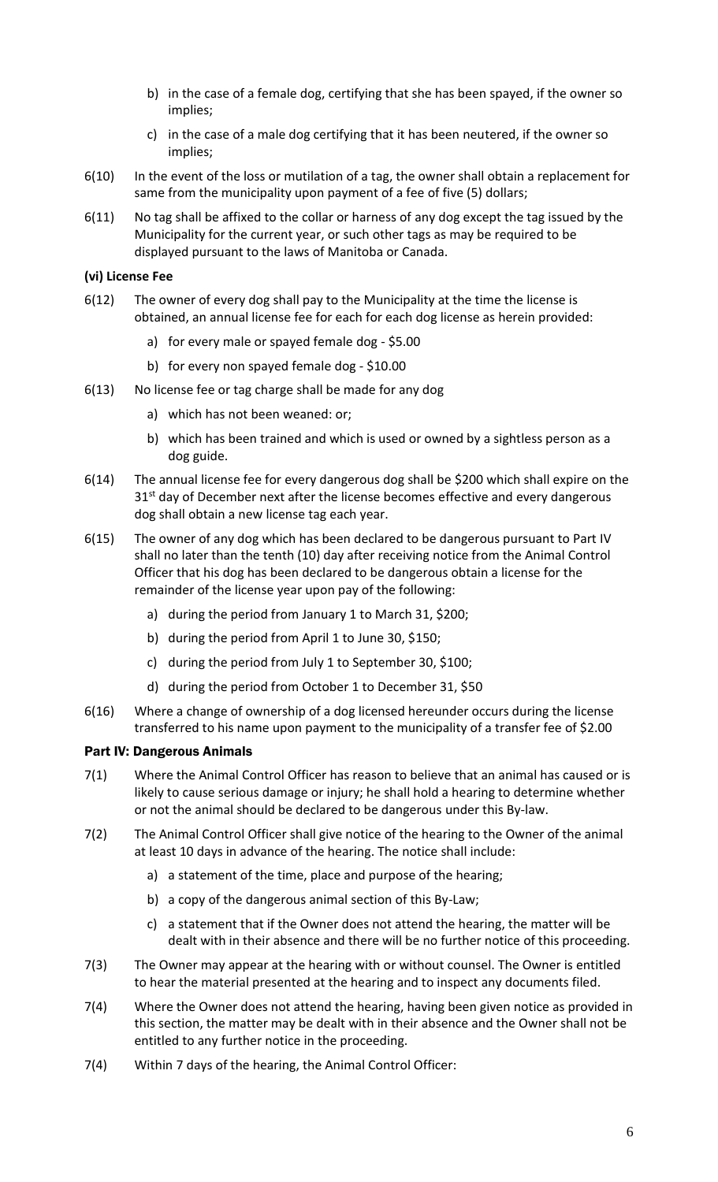- b) in the case of a female dog, certifying that she has been spayed, if the owner so implies;
- c) in the case of a male dog certifying that it has been neutered, if the owner so implies;
- 6(10) In the event of the loss or mutilation of a tag, the owner shall obtain a replacement for same from the municipality upon payment of a fee of five (5) dollars;
- 6(11) No tag shall be affixed to the collar or harness of any dog except the tag issued by the Municipality for the current year, or such other tags as may be required to be displayed pursuant to the laws of Manitoba or Canada.

## **(vi) License Fee**

- 6(12) The owner of every dog shall pay to the Municipality at the time the license is obtained, an annual license fee for each for each dog license as herein provided:
	- a) for every male or spayed female dog \$5.00
	- b) for every non spayed female dog \$10.00
- 6(13) No license fee or tag charge shall be made for any dog
	- a) which has not been weaned: or;
	- b) which has been trained and which is used or owned by a sightless person as a dog guide.
- 6(14) The annual license fee for every dangerous dog shall be \$200 which shall expire on the 31<sup>st</sup> day of December next after the license becomes effective and every dangerous dog shall obtain a new license tag each year.
- 6(15) The owner of any dog which has been declared to be dangerous pursuant to Part IV shall no later than the tenth (10) day after receiving notice from the Animal Control Officer that his dog has been declared to be dangerous obtain a license for the remainder of the license year upon pay of the following:
	- a) during the period from January 1 to March 31, \$200;
	- b) during the period from April 1 to June 30, \$150;
	- c) during the period from July 1 to September 30, \$100;
	- d) during the period from October 1 to December 31, \$50
- 6(16) Where a change of ownership of a dog licensed hereunder occurs during the license transferred to his name upon payment to the municipality of a transfer fee of \$2.00

#### Part IV: Dangerous Animals

- 7(1) Where the Animal Control Officer has reason to believe that an animal has caused or is likely to cause serious damage or injury; he shall hold a hearing to determine whether or not the animal should be declared to be dangerous under this By-law.
- 7(2) The Animal Control Officer shall give notice of the hearing to the Owner of the animal at least 10 days in advance of the hearing. The notice shall include:
	- a) a statement of the time, place and purpose of the hearing;
	- b) a copy of the dangerous animal section of this By-Law;
	- c) a statement that if the Owner does not attend the hearing, the matter will be dealt with in their absence and there will be no further notice of this proceeding.
- 7(3) The Owner may appear at the hearing with or without counsel. The Owner is entitled to hear the material presented at the hearing and to inspect any documents filed.
- 7(4) Where the Owner does not attend the hearing, having been given notice as provided in this section, the matter may be dealt with in their absence and the Owner shall not be entitled to any further notice in the proceeding.
- 7(4) Within 7 days of the hearing, the Animal Control Officer: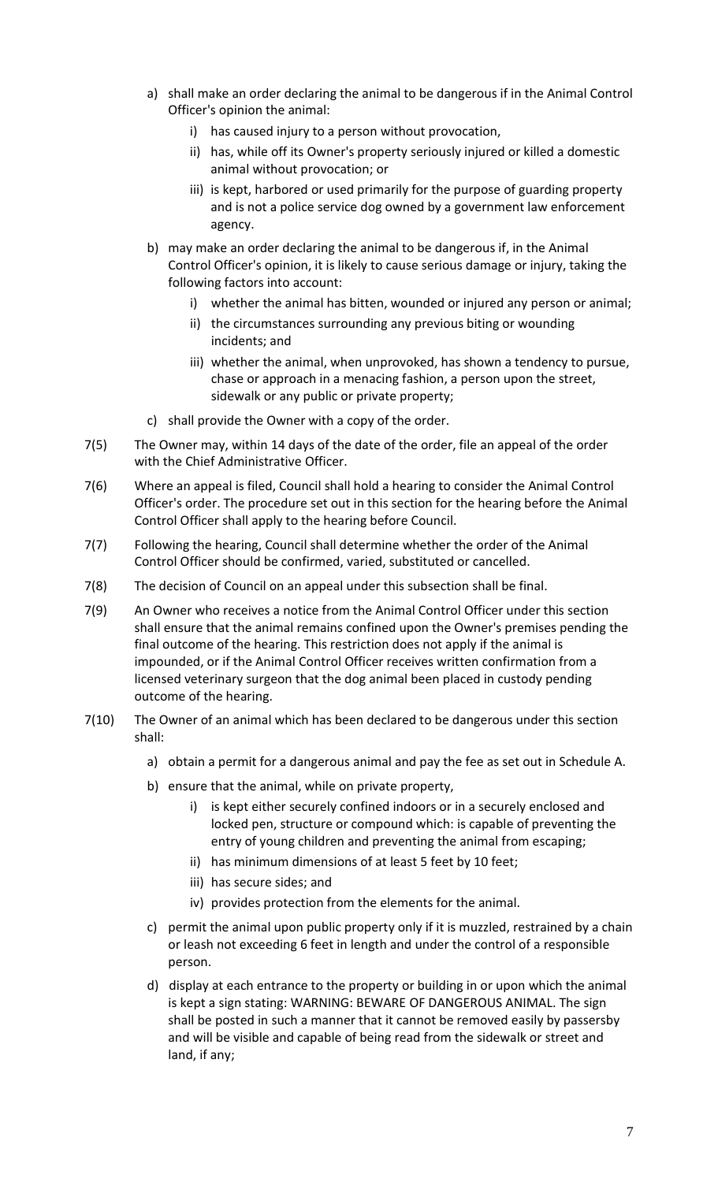- a) shall make an order declaring the animal to be dangerous if in the Animal Control Officer's opinion the animal:
	- i) has caused injury to a person without provocation,
	- ii) has, while off its Owner's property seriously injured or killed a domestic animal without provocation; or
	- iii) is kept, harbored or used primarily for the purpose of guarding property and is not a police service dog owned by a government law enforcement agency.
- b) may make an order declaring the animal to be dangerous if, in the Animal Control Officer's opinion, it is likely to cause serious damage or injury, taking the following factors into account:
	- i) whether the animal has bitten, wounded or injured any person or animal;
	- ii) the circumstances surrounding any previous biting or wounding incidents; and
	- iii) whether the animal, when unprovoked, has shown a tendency to pursue, chase or approach in a menacing fashion, a person upon the street, sidewalk or any public or private property;
- c) shall provide the Owner with a copy of the order.
- 7(5) The Owner may, within 14 days of the date of the order, file an appeal of the order with the Chief Administrative Officer.
- 7(6) Where an appeal is filed, Council shall hold a hearing to consider the Animal Control Officer's order. The procedure set out in this section for the hearing before the Animal Control Officer shall apply to the hearing before Council.
- 7(7) Following the hearing, Council shall determine whether the order of the Animal Control Officer should be confirmed, varied, substituted or cancelled.
- 7(8) The decision of Council on an appeal under this subsection shall be final.
- 7(9) An Owner who receives a notice from the Animal Control Officer under this section shall ensure that the animal remains confined upon the Owner's premises pending the final outcome of the hearing. This restriction does not apply if the animal is impounded, or if the Animal Control Officer receives written confirmation from a licensed veterinary surgeon that the dog animal been placed in custody pending outcome of the hearing.
- 7(10) The Owner of an animal which has been declared to be dangerous under this section shall:
	- a) obtain a permit for a dangerous animal and pay the fee as set out in Schedule A.
	- b) ensure that the animal, while on private property,
		- i) is kept either securely confined indoors or in a securely enclosed and locked pen, structure or compound which: is capable of preventing the entry of young children and preventing the animal from escaping;
		- ii) has minimum dimensions of at least 5 feet by 10 feet;
		- iii) has secure sides; and
		- iv) provides protection from the elements for the animal.
	- c) permit the animal upon public property only if it is muzzled, restrained by a chain or leash not exceeding 6 feet in length and under the control of a responsible person.
	- d) display at each entrance to the property or building in or upon which the animal is kept a sign stating: WARNING: BEWARE OF DANGEROUS ANIMAL. The sign shall be posted in such a manner that it cannot be removed easily by passersby and will be visible and capable of being read from the sidewalk or street and land, if any;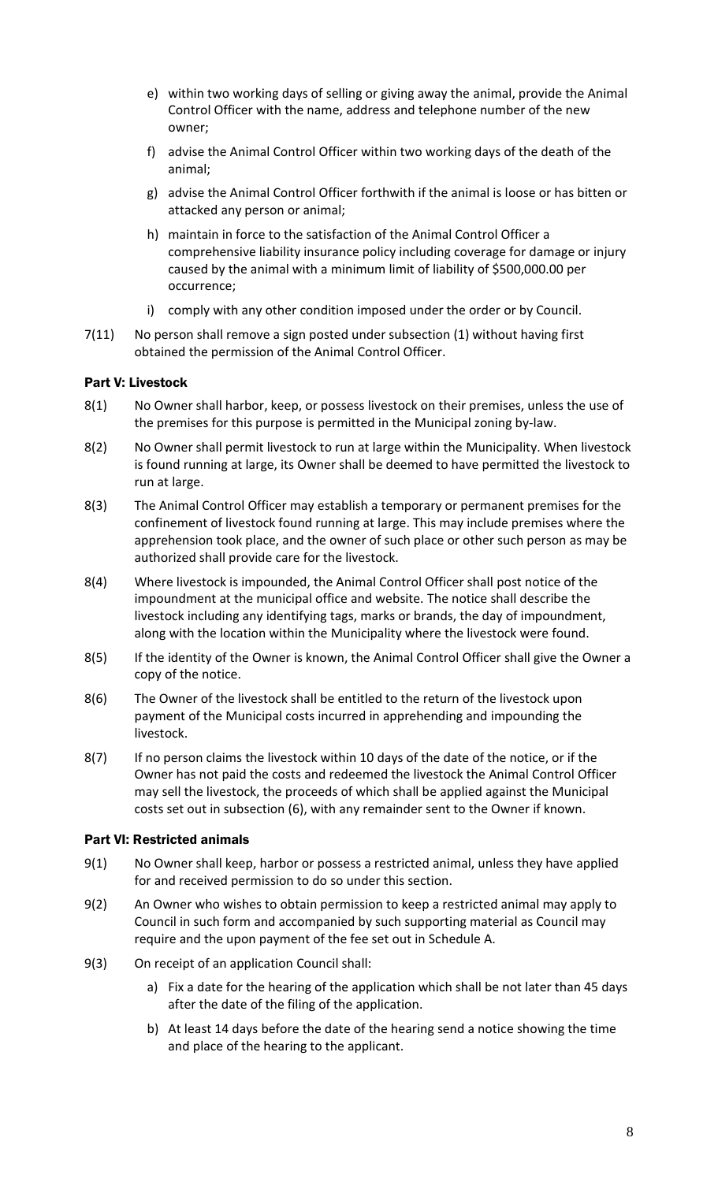- e) within two working days of selling or giving away the animal, provide the Animal Control Officer with the name, address and telephone number of the new owner;
- f) advise the Animal Control Officer within two working days of the death of the animal;
- g) advise the Animal Control Officer forthwith if the animal is loose or has bitten or attacked any person or animal;
- h) maintain in force to the satisfaction of the Animal Control Officer a comprehensive liability insurance policy including coverage for damage or injury caused by the animal with a minimum limit of liability of \$500,000.00 per occurrence;
- i) comply with any other condition imposed under the order or by Council.
- 7(11) No person shall remove a sign posted under subsection (1) without having first obtained the permission of the Animal Control Officer.

## Part V: Livestock

- 8(1) No Owner shall harbor, keep, or possess livestock on their premises, unless the use of the premises for this purpose is permitted in the Municipal zoning by-law.
- 8(2) No Owner shall permit livestock to run at large within the Municipality. When livestock is found running at large, its Owner shall be deemed to have permitted the livestock to run at large.
- 8(3) The Animal Control Officer may establish a temporary or permanent premises for the confinement of livestock found running at large. This may include premises where the apprehension took place, and the owner of such place or other such person as may be authorized shall provide care for the livestock.
- 8(4) Where livestock is impounded, the Animal Control Officer shall post notice of the impoundment at the municipal office and website. The notice shall describe the livestock including any identifying tags, marks or brands, the day of impoundment, along with the location within the Municipality where the livestock were found.
- 8(5) If the identity of the Owner is known, the Animal Control Officer shall give the Owner a copy of the notice.
- 8(6) The Owner of the livestock shall be entitled to the return of the livestock upon payment of the Municipal costs incurred in apprehending and impounding the livestock.
- 8(7) If no person claims the livestock within 10 days of the date of the notice, or if the Owner has not paid the costs and redeemed the livestock the Animal Control Officer may sell the livestock, the proceeds of which shall be applied against the Municipal costs set out in subsection (6), with any remainder sent to the Owner if known.

#### Part VI: Restricted animals

- 9(1) No Owner shall keep, harbor or possess a restricted animal, unless they have applied for and received permission to do so under this section.
- 9(2) An Owner who wishes to obtain permission to keep a restricted animal may apply to Council in such form and accompanied by such supporting material as Council may require and the upon payment of the fee set out in Schedule A.
- 9(3) On receipt of an application Council shall:
	- a) Fix a date for the hearing of the application which shall be not later than 45 days after the date of the filing of the application.
	- b) At least 14 days before the date of the hearing send a notice showing the time and place of the hearing to the applicant.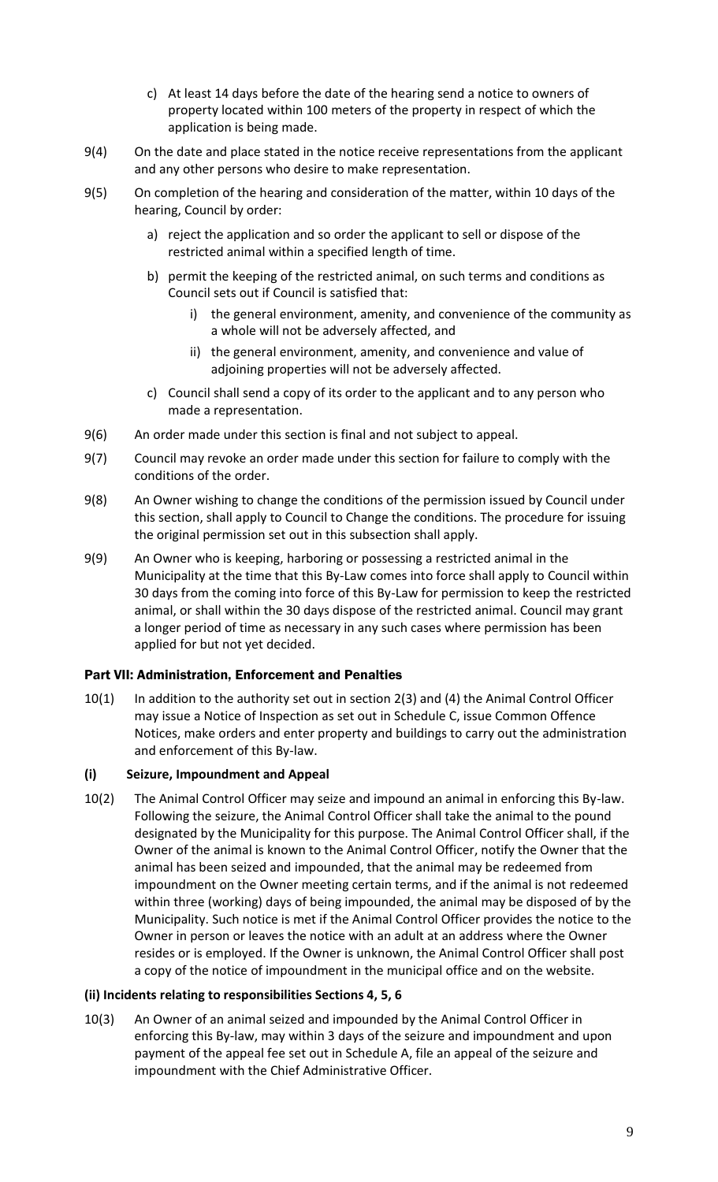- c) At least 14 days before the date of the hearing send a notice to owners of property located within 100 meters of the property in respect of which the application is being made.
- 9(4) On the date and place stated in the notice receive representations from the applicant and any other persons who desire to make representation.
- 9(5) On completion of the hearing and consideration of the matter, within 10 days of the hearing, Council by order:
	- a) reject the application and so order the applicant to sell or dispose of the restricted animal within a specified length of time.
	- b) permit the keeping of the restricted animal, on such terms and conditions as Council sets out if Council is satisfied that:
		- i) the general environment, amenity, and convenience of the community as a whole will not be adversely affected, and
		- ii) the general environment, amenity, and convenience and value of adjoining properties will not be adversely affected.
	- c) Council shall send a copy of its order to the applicant and to any person who made a representation.
- 9(6) An order made under this section is final and not subject to appeal.
- 9(7) Council may revoke an order made under this section for failure to comply with the conditions of the order.
- 9(8) An Owner wishing to change the conditions of the permission issued by Council under this section, shall apply to Council to Change the conditions. The procedure for issuing the original permission set out in this subsection shall apply.
- 9(9) An Owner who is keeping, harboring or possessing a restricted animal in the Municipality at the time that this By-Law comes into force shall apply to Council within 30 days from the coming into force of this By-Law for permission to keep the restricted animal, or shall within the 30 days dispose of the restricted animal. Council may grant a longer period of time as necessary in any such cases where permission has been applied for but not yet decided.

## Part VII: Administration, Enforcement and Penalties

10(1) In addition to the authority set out in section 2(3) and (4) the Animal Control Officer may issue a Notice of Inspection as set out in Schedule C, issue Common Offence Notices, make orders and enter property and buildings to carry out the administration and enforcement of this By-law.

#### **(i) Seizure, Impoundment and Appeal**

10(2) The Animal Control Officer may seize and impound an animal in enforcing this By-law. Following the seizure, the Animal Control Officer shall take the animal to the pound designated by the Municipality for this purpose. The Animal Control Officer shall, if the Owner of the animal is known to the Animal Control Officer, notify the Owner that the animal has been seized and impounded, that the animal may be redeemed from impoundment on the Owner meeting certain terms, and if the animal is not redeemed within three (working) days of being impounded, the animal may be disposed of by the Municipality. Such notice is met if the Animal Control Officer provides the notice to the Owner in person or leaves the notice with an adult at an address where the Owner resides or is employed. If the Owner is unknown, the Animal Control Officer shall post a copy of the notice of impoundment in the municipal office and on the website.

## **(ii) Incidents relating to responsibilities Sections 4, 5, 6**

10(3) An Owner of an animal seized and impounded by the Animal Control Officer in enforcing this By-law, may within 3 days of the seizure and impoundment and upon payment of the appeal fee set out in Schedule A, file an appeal of the seizure and impoundment with the Chief Administrative Officer.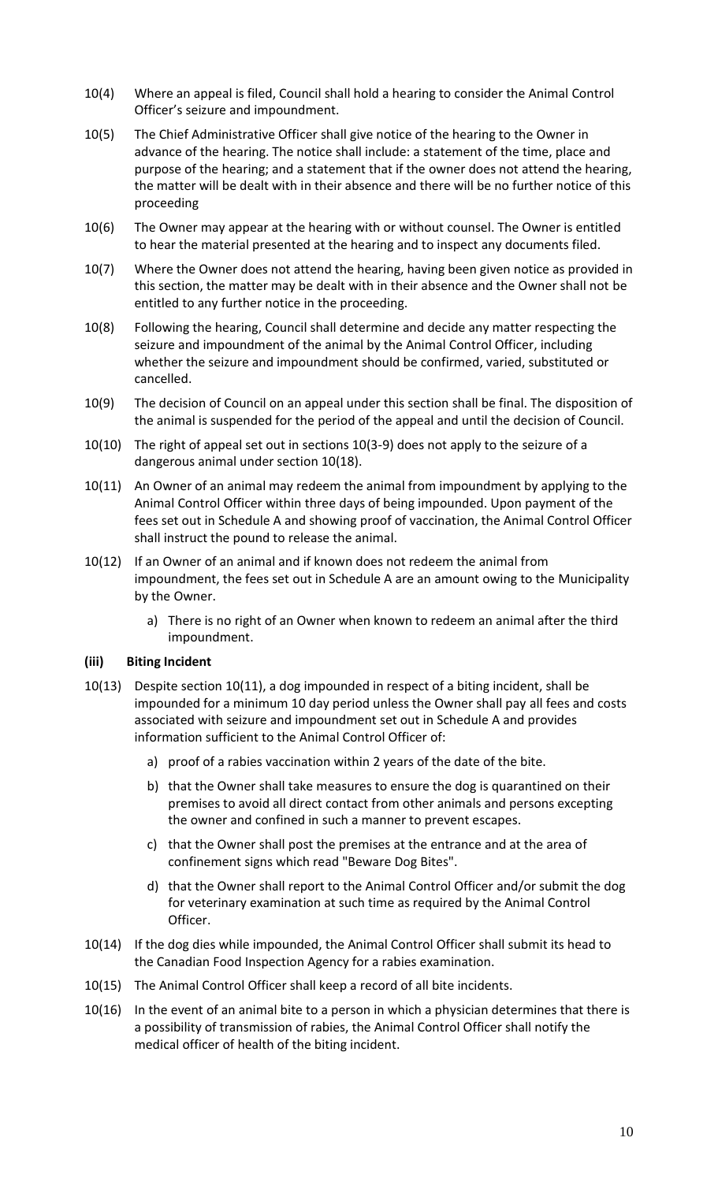- 10(4) Where an appeal is filed, Council shall hold a hearing to consider the Animal Control Officer's seizure and impoundment.
- 10(5) The Chief Administrative Officer shall give notice of the hearing to the Owner in advance of the hearing. The notice shall include: a statement of the time, place and purpose of the hearing; and a statement that if the owner does not attend the hearing, the matter will be dealt with in their absence and there will be no further notice of this proceeding
- 10(6) The Owner may appear at the hearing with or without counsel. The Owner is entitled to hear the material presented at the hearing and to inspect any documents filed.
- 10(7) Where the Owner does not attend the hearing, having been given notice as provided in this section, the matter may be dealt with in their absence and the Owner shall not be entitled to any further notice in the proceeding.
- 10(8) Following the hearing, Council shall determine and decide any matter respecting the seizure and impoundment of the animal by the Animal Control Officer, including whether the seizure and impoundment should be confirmed, varied, substituted or cancelled.
- 10(9) The decision of Council on an appeal under this section shall be final. The disposition of the animal is suspended for the period of the appeal and until the decision of Council.
- 10(10) The right of appeal set out in sections 10(3-9) does not apply to the seizure of a dangerous animal under section 10(18).
- 10(11) An Owner of an animal may redeem the animal from impoundment by applying to the Animal Control Officer within three days of being impounded. Upon payment of the fees set out in Schedule A and showing proof of vaccination, the Animal Control Officer shall instruct the pound to release the animal.
- 10(12) If an Owner of an animal and if known does not redeem the animal from impoundment, the fees set out in Schedule A are an amount owing to the Municipality by the Owner.
	- a) There is no right of an Owner when known to redeem an animal after the third impoundment.

#### **(iii) Biting Incident**

- 10(13) Despite section 10(11), a dog impounded in respect of a biting incident, shall be impounded for a minimum 10 day period unless the Owner shall pay all fees and costs associated with seizure and impoundment set out in Schedule A and provides information sufficient to the Animal Control Officer of:
	- a) proof of a rabies vaccination within 2 years of the date of the bite.
	- b) that the Owner shall take measures to ensure the dog is quarantined on their premises to avoid all direct contact from other animals and persons excepting the owner and confined in such a manner to prevent escapes.
	- c) that the Owner shall post the premises at the entrance and at the area of confinement signs which read "Beware Dog Bites".
	- d) that the Owner shall report to the Animal Control Officer and/or submit the dog for veterinary examination at such time as required by the Animal Control Officer.
- 10(14) If the dog dies while impounded, the Animal Control Officer shall submit its head to the Canadian Food Inspection Agency for a rabies examination.
- 10(15) The Animal Control Officer shall keep a record of all bite incidents.
- 10(16) In the event of an animal bite to a person in which a physician determines that there is a possibility of transmission of rabies, the Animal Control Officer shall notify the medical officer of health of the biting incident.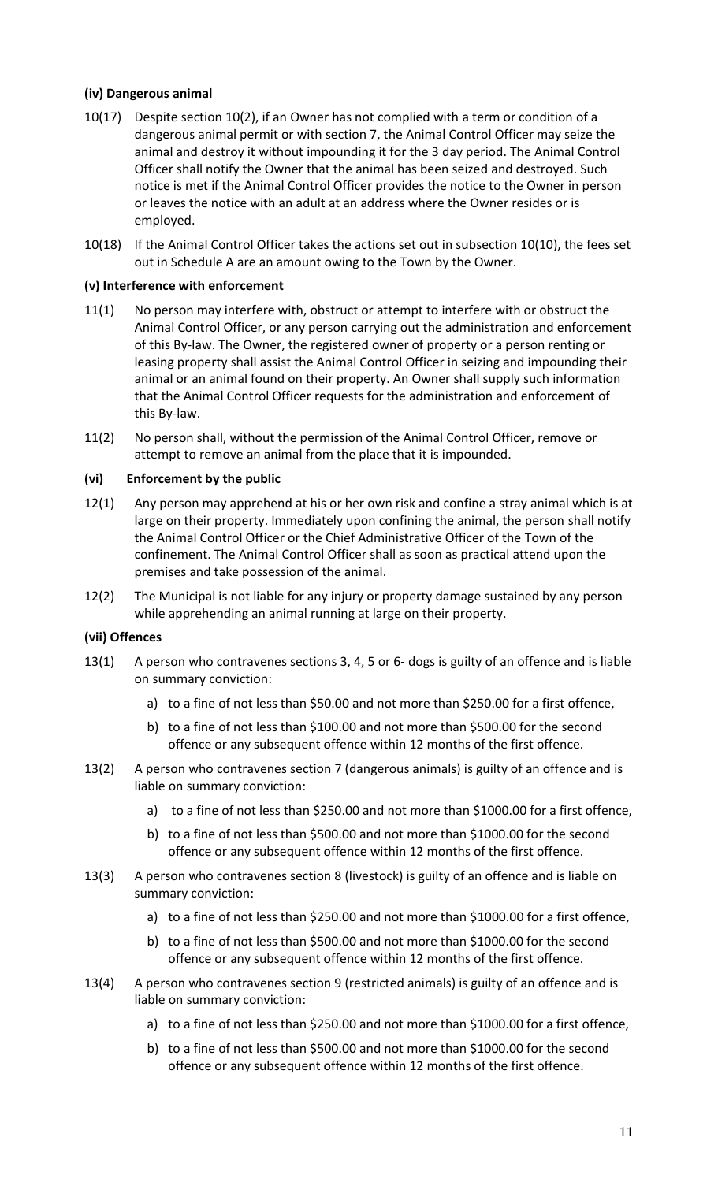#### **(iv) Dangerous animal**

- 10(17) Despite section 10(2), if an Owner has not complied with a term or condition of a dangerous animal permit or with section 7, the Animal Control Officer may seize the animal and destroy it without impounding it for the 3 day period. The Animal Control Officer shall notify the Owner that the animal has been seized and destroyed. Such notice is met if the Animal Control Officer provides the notice to the Owner in person or leaves the notice with an adult at an address where the Owner resides or is employed.
- 10(18) If the Animal Control Officer takes the actions set out in subsection 10(10), the fees set out in Schedule A are an amount owing to the Town by the Owner.

#### **(v) Interference with enforcement**

- 11(1) No person may interfere with, obstruct or attempt to interfere with or obstruct the Animal Control Officer, or any person carrying out the administration and enforcement of this By-law. The Owner, the registered owner of property or a person renting or leasing property shall assist the Animal Control Officer in seizing and impounding their animal or an animal found on their property. An Owner shall supply such information that the Animal Control Officer requests for the administration and enforcement of this By-law.
- 11(2) No person shall, without the permission of the Animal Control Officer, remove or attempt to remove an animal from the place that it is impounded.

#### **(vi) Enforcement by the public**

- 12(1) Any person may apprehend at his or her own risk and confine a stray animal which is at large on their property. Immediately upon confining the animal, the person shall notify the Animal Control Officer or the Chief Administrative Officer of the Town of the confinement. The Animal Control Officer shall as soon as practical attend upon the premises and take possession of the animal.
- 12(2) The Municipal is not liable for any injury or property damage sustained by any person while apprehending an animal running at large on their property.

#### **(vii) Offences**

- 13(1) A person who contravenes sections 3, 4, 5 or 6- dogs is guilty of an offence and is liable on summary conviction:
	- a) to a fine of not less than \$50.00 and not more than \$250.00 for a first offence,
	- b) to a fine of not less than \$100.00 and not more than \$500.00 for the second offence or any subsequent offence within 12 months of the first offence.
- 13(2) A person who contravenes section 7 (dangerous animals) is guilty of an offence and is liable on summary conviction:
	- a) to a fine of not less than \$250.00 and not more than \$1000.00 for a first offence,
	- b) to a fine of not less than \$500.00 and not more than \$1000.00 for the second offence or any subsequent offence within 12 months of the first offence.
- 13(3) A person who contravenes section 8 (livestock) is guilty of an offence and is liable on summary conviction:
	- a) to a fine of not less than \$250.00 and not more than \$1000.00 for a first offence,
	- b) to a fine of not less than \$500.00 and not more than \$1000.00 for the second offence or any subsequent offence within 12 months of the first offence.
- 13(4) A person who contravenes section 9 (restricted animals) is guilty of an offence and is liable on summary conviction:
	- a) to a fine of not less than \$250.00 and not more than \$1000.00 for a first offence,
	- b) to a fine of not less than \$500.00 and not more than \$1000.00 for the second offence or any subsequent offence within 12 months of the first offence.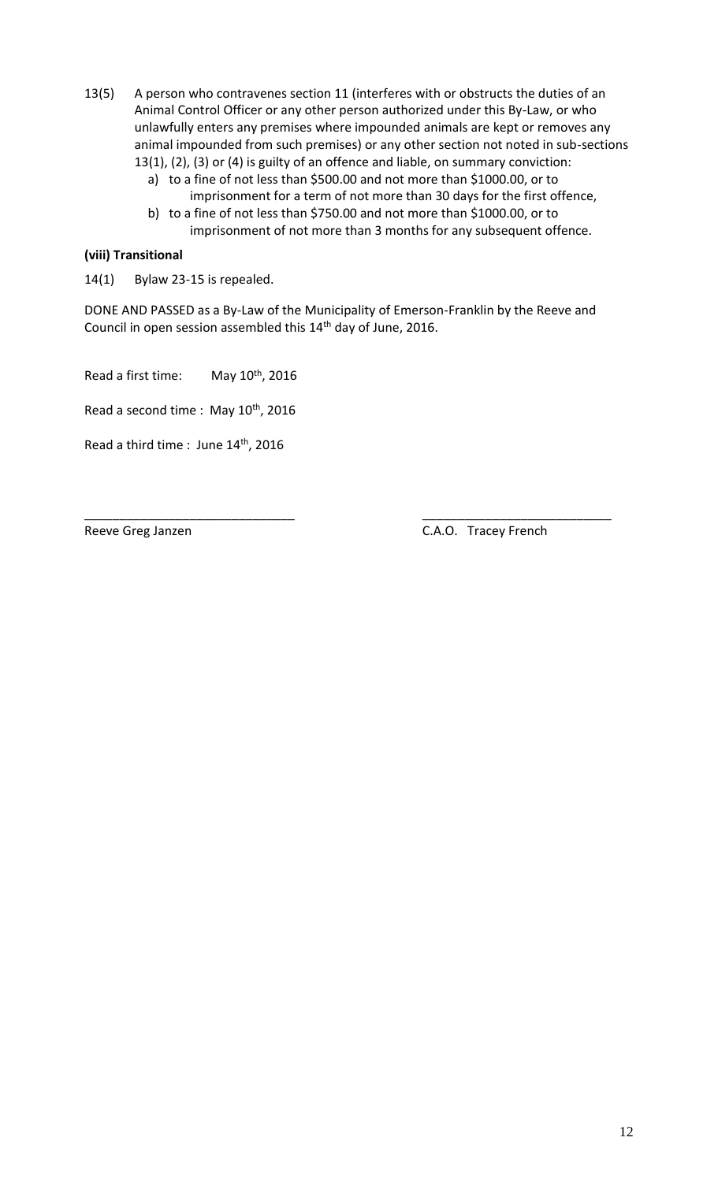- 13(5) A person who contravenes section 11 (interferes with or obstructs the duties of an Animal Control Officer or any other person authorized under this By-Law, or who unlawfully enters any premises where impounded animals are kept or removes any animal impounded from such premises) or any other section not noted in sub-sections 13(1), (2), (3) or (4) is guilty of an offence and liable, on summary conviction:
	- a) to a fine of not less than \$500.00 and not more than \$1000.00, or to
	- imprisonment for a term of not more than 30 days for the first offence, b) to a fine of not less than \$750.00 and not more than \$1000.00, or to
		- imprisonment of not more than 3 months for any subsequent offence.

## **(viii) Transitional**

14(1) Bylaw 23-15 is repealed.

DONE AND PASSED as a By-Law of the Municipality of Emerson-Franklin by the Reeve and Council in open session assembled this 14<sup>th</sup> day of June, 2016.

Read a first time: May 10<sup>th</sup>, 2016

Read a second time : May 10<sup>th</sup>, 2016

Read a third time : June 14<sup>th</sup>, 2016

\_\_\_\_\_\_\_\_\_\_\_\_\_\_\_\_\_\_\_\_\_\_\_\_\_\_\_\_\_\_ \_\_\_\_\_\_\_\_\_\_\_\_\_\_\_\_\_\_\_\_\_\_\_\_\_\_\_ Reeve Greg Janzen C.A.O. Tracey French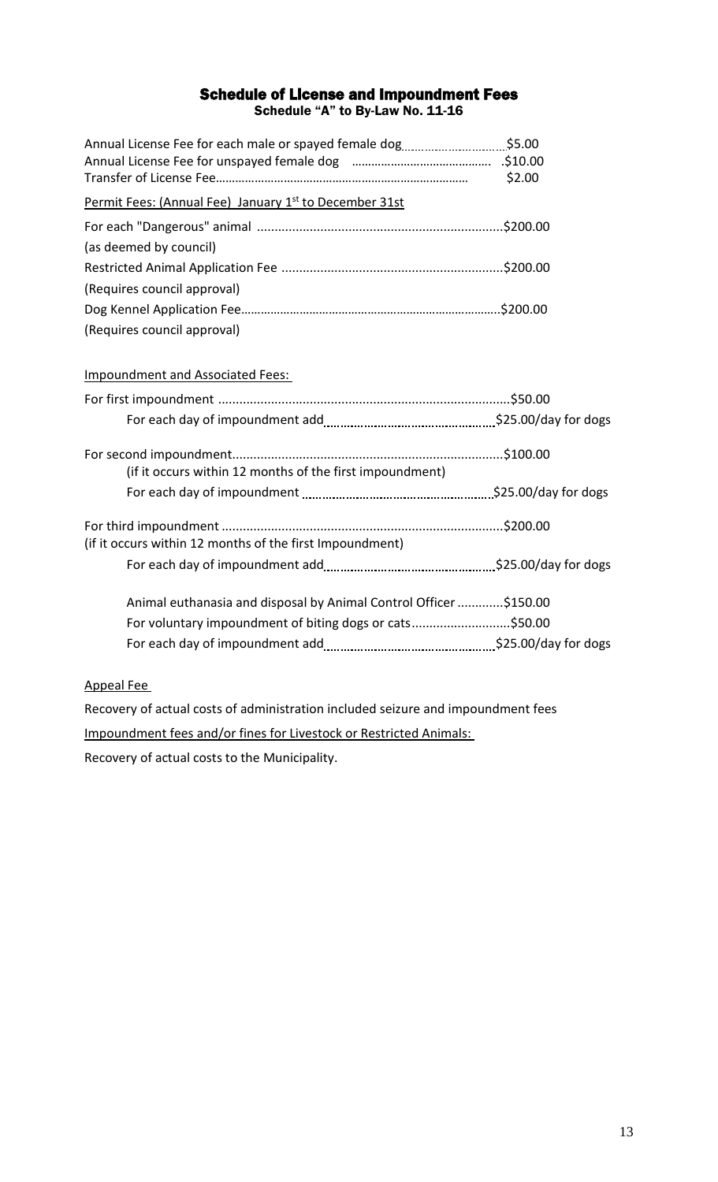## Schedule of License and Impoundment Fees Schedule "A" to By-Law No. 11-16

| Annual License Fee for each male or spayed female dog\$5.00       |        |
|-------------------------------------------------------------------|--------|
|                                                                   |        |
|                                                                   | \$2.00 |
| Permit Fees: (Annual Fee) January 1st to December 31st            |        |
|                                                                   |        |
| (as deemed by council)                                            |        |
|                                                                   |        |
| (Requires council approval)                                       |        |
|                                                                   |        |
| (Requires council approval)                                       |        |
| <b>Impoundment and Associated Fees:</b>                           |        |
|                                                                   |        |
|                                                                   |        |
| (if it occurs within 12 months of the first impoundment)          |        |
|                                                                   |        |
| (if it occurs within 12 months of the first Impoundment)          |        |
|                                                                   |        |
| Animal euthanasia and disposal by Animal Control Officer \$150.00 |        |
| For voluntary impoundment of biting dogs or cats\$50.00           |        |
|                                                                   |        |

## Appeal Fee

Recovery of actual costs of administration included seizure and impoundment fees Impoundment fees and/or fines for Livestock or Restricted Animals:

Recovery of actual costs to the Municipality.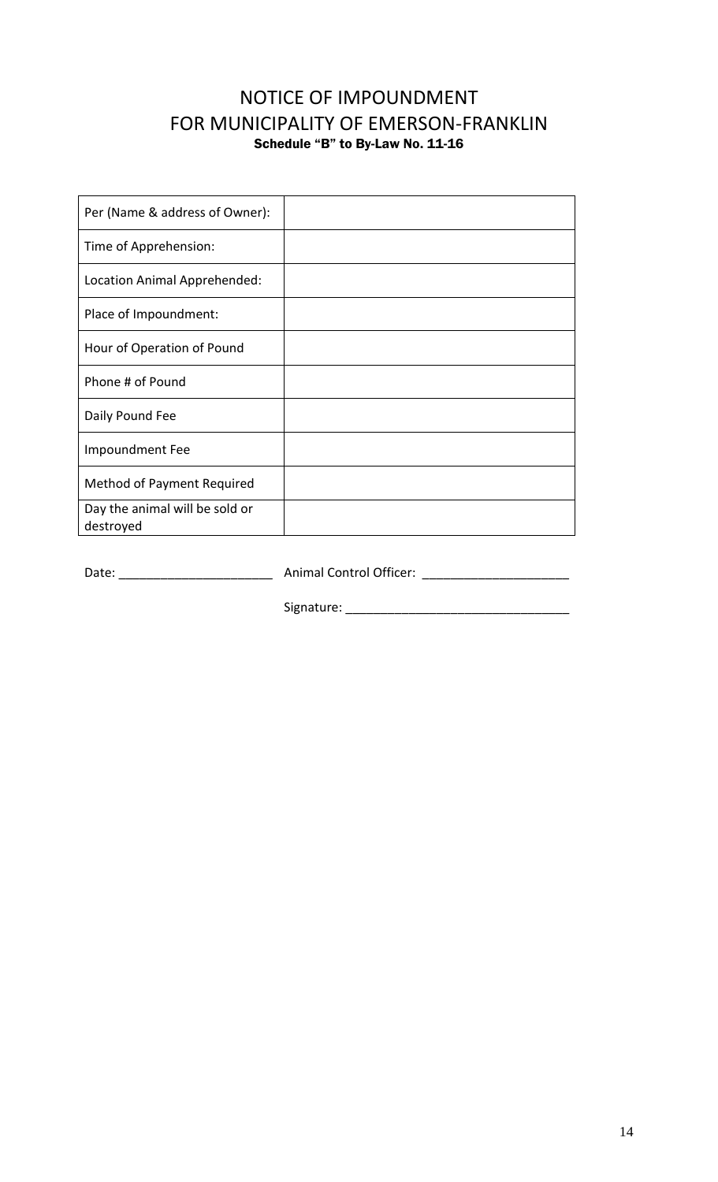# NOTICE OF IMPOUNDMENT FOR MUNICIPALITY OF EMERSON-FRANKLIN Schedule "B" to By-Law No. 11-16

| Per (Name & address of Owner):              |  |
|---------------------------------------------|--|
| Time of Apprehension:                       |  |
| Location Animal Apprehended:                |  |
| Place of Impoundment:                       |  |
| Hour of Operation of Pound                  |  |
| Phone # of Pound                            |  |
| Daily Pound Fee                             |  |
| Impoundment Fee                             |  |
| Method of Payment Required                  |  |
| Day the animal will be sold or<br>destroyed |  |

Date: \_\_\_\_\_\_\_\_\_\_\_\_\_\_\_\_\_\_\_\_\_\_ Animal Control Officer: \_\_\_\_\_\_\_\_\_\_\_\_\_\_\_\_\_\_\_\_\_

Signature: \_\_\_\_\_\_\_\_\_\_\_\_\_\_\_\_\_\_\_\_\_\_\_\_\_\_\_\_\_\_\_\_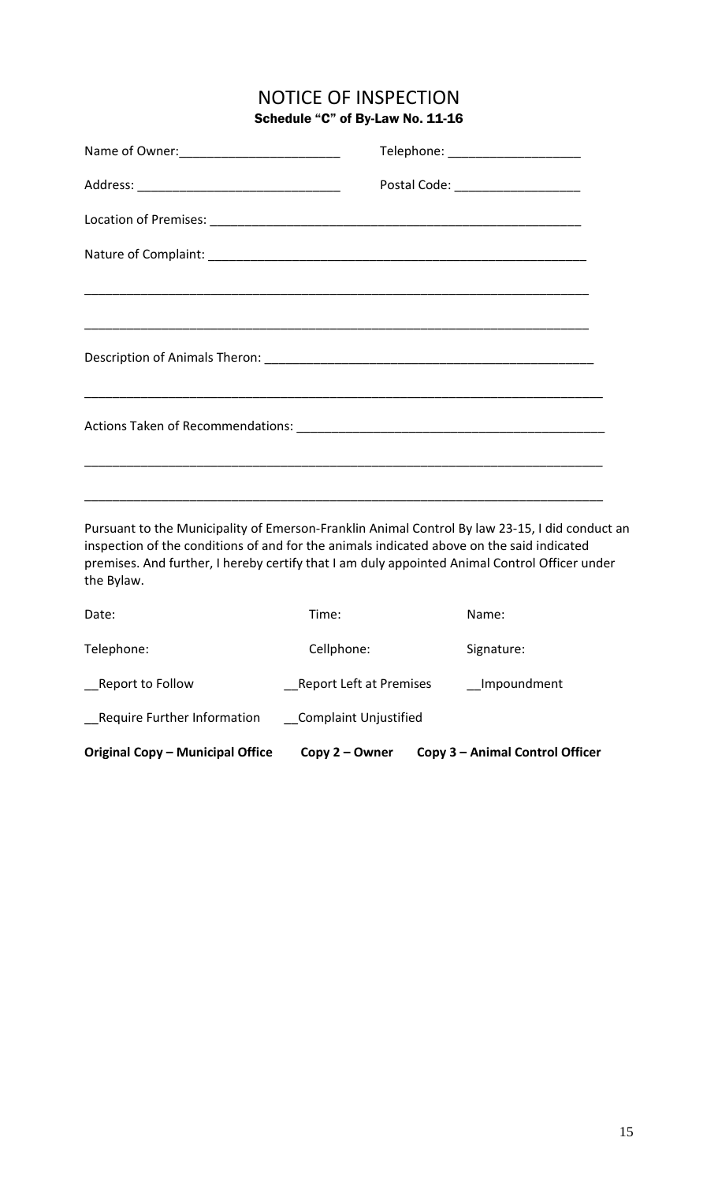## NOTICE OF INSPECTION Schedule "C" of By-Law No. 11-16

| Telephone: _______________________ |
|------------------------------------|
| Postal Code: _____________________ |
|                                    |
|                                    |
|                                    |
|                                    |
|                                    |
|                                    |
|                                    |
|                                    |
|                                    |

Pursuant to the Municipality of Emerson-Franklin Animal Control By law 23-15, I did conduct an inspection of the conditions of and for the animals indicated above on the said indicated premises. And further, I hereby certify that I am duly appointed Animal Control Officer under the Bylaw.

| Original Copy - Municipal Office | Copy 2 – Owner               | Copy 3 - Animal Control Officer |
|----------------------------------|------------------------------|---------------------------------|
| Require Further Information      | <b>Complaint Unjustified</b> |                                 |
| Report to Follow                 | Report Left at Premises      | Impoundment                     |
| Telephone:                       | Cellphone:                   | Signature:                      |
| Date:                            | Time:                        | Name:                           |